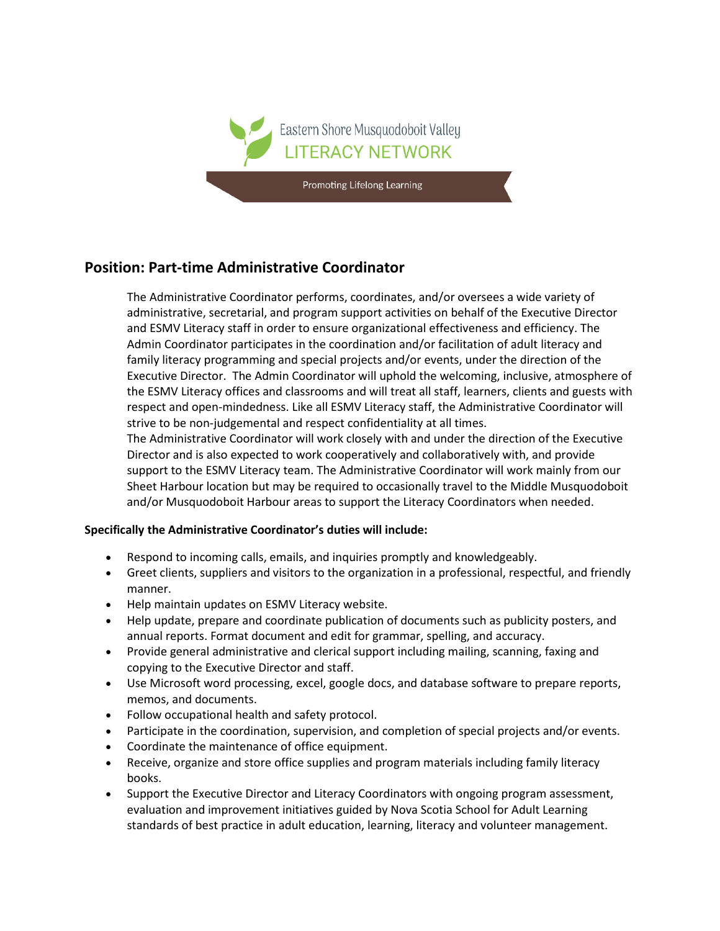

## **Position: Part-time Administrative Coordinator**

The Administrative Coordinator performs, coordinates, and/or oversees a wide variety of administrative, secretarial, and program support activities on behalf of the Executive Director and ESMV Literacy staff in order to ensure organizational effectiveness and efficiency. The Admin Coordinator participates in the coordination and/or facilitation of adult literacy and family literacy programming and special projects and/or events, under the direction of the Executive Director. The Admin Coordinator will uphold the welcoming, inclusive, atmosphere of the ESMV Literacy offices and classrooms and will treat all staff, learners, clients and guests with respect and open-mindedness. Like all ESMV Literacy staff, the Administrative Coordinator will strive to be non-judgemental and respect confidentiality at all times.

The Administrative Coordinator will work closely with and under the direction of the Executive Director and is also expected to work cooperatively and collaboratively with, and provide support to the ESMV Literacy team. The Administrative Coordinator will work mainly from our Sheet Harbour location but may be required to occasionally travel to the Middle Musquodoboit and/or Musquodoboit Harbour areas to support the Literacy Coordinators when needed.

## **Specifically the Administrative Coordinator's duties will include:**

- Respond to incoming calls, emails, and inquiries promptly and knowledgeably.
- Greet clients, suppliers and visitors to the organization in a professional, respectful, and friendly manner.
- Help maintain updates on ESMV Literacy website.
- Help update, prepare and coordinate publication of documents such as publicity posters, and annual reports. Format document and edit for grammar, spelling, and accuracy.
- Provide general administrative and clerical support including mailing, scanning, faxing and copying to the Executive Director and staff.
- Use Microsoft word processing, excel, google docs, and database software to prepare reports, memos, and documents.
- Follow occupational health and safety protocol.
- Participate in the coordination, supervision, and completion of special projects and/or events.
- Coordinate the maintenance of office equipment.
- Receive, organize and store office supplies and program materials including family literacy books.
- Support the Executive Director and Literacy Coordinators with ongoing program assessment, evaluation and improvement initiatives guided by Nova Scotia School for Adult Learning standards of best practice in adult education, learning, literacy and volunteer management.